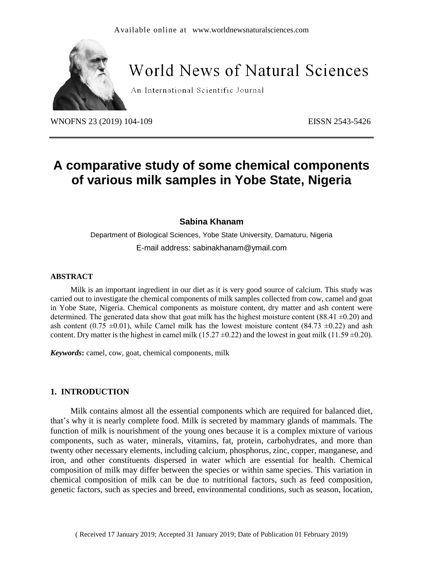

# **World News of Natural Sciences**

An International Scientific Journal

WNOFNS 23 (2019) 104-109 EISSN 2543-5426

# **A comparative study of some chemical components of various milk samples in Yobe State, Nigeria**

#### **Sabina Khanam**

Department of Biological Sciences, Yobe State University, Damaturu, Nigeria E-mail address: [sabinakhanam@ymail.com](mailto:sabinakhanam@ymail.com)

#### **ABSTRACT**

Milk is an important ingredient in our diet as it is very good source of calcium. This study was carried out to investigate the chemical components of milk samples collected from cow, camel and goat in Yobe State, Nigeria. Chemical components as moisture content, dry matter and ash content were determined. The generated data show that goat milk has the highest moisture content (88.41  $\pm$ 0.20) and ash content (0.75  $\pm$ 0.01), while Camel milk has the lowest moisture content (84.73  $\pm$ 0.22) and ash content. Dry matter is the highest in camel milk (15.27  $\pm$ 0.22) and the lowest in goat milk (11.59  $\pm$ 0.20).

*Keywords***:** camel, cow, goat, chemical components, milk

#### **1. INTRODUCTION**

Milk contains almost all the essential components which are required for balanced diet, that's why it is nearly complete food. Milk is secreted by mammary glands of mammals. The function of milk is nourishment of the young ones because it is a complex mixture of various components, such as water, minerals, vitamins, fat, protein, carbohydrates, and more than twenty other necessary elements, including calcium, phosphorus, zinc, copper, manganese, and iron, and other constituents dispersed in water which are essential for health. Chemical composition of milk may differ between the species or within same species. This variation in chemical composition of milk can be due to nutritional factors, such as feed composition, genetic factors, such as species and breed, environmental conditions, such as season, location,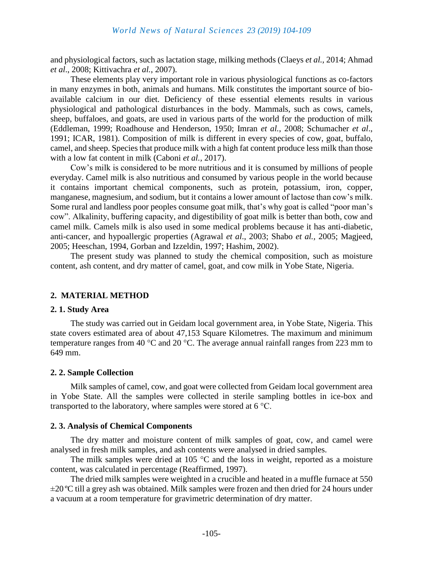and physiological factors, such as lactation stage, milking methods (Claeys *et al.,* 2014; Ahmad *et al*., 2008; Kittivachra *et al.*, 2007).

These elements play very important role in various physiological functions as co-factors in many enzymes in both, animals and humans. Milk constitutes the important source of bioavailable calcium in our diet. Deficiency of these essential elements results in various physiological and pathological disturbances in the body. Mammals, such as cows, camels, sheep, buffaloes, and goats, are used in various parts of the world for the production of milk (Eddleman, 1999; Roadhouse and Henderson, 1950; Imran *et al.*, 2008; Schumacher *et al*., 1991; ICAR, 1981). Composition of milk is different in every species of cow, goat, buffalo, camel, and sheep. Species that produce milk with a high fat content produce less milk than those with a low fat content in milk (Caboni *et al.,* 2017).

Cow's milk is considered to be more nutritious and it is consumed by millions of people everyday. Camel milk is also nutritious and consumed by various people in the world because it contains important chemical components, such as protein, potassium, iron, copper, manganese, magnesium, and sodium, but it contains a lower amount of lactose than cow's milk. Some rural and landless poor peoples consume goat milk, that's why goat is called "poor man's cow". Alkalinity, buffering capacity, and digestibility of goat milk is better than both, cow and camel milk. Camels milk is also used in some medical problems because it has anti-diabetic, anti-cancer, and hypoallergic properties (Agrawal *et al*., 2003; Shabo *et al.,* 2005; Magjeed, 2005; Heeschan, 1994, Gorban and Izzeldin, 1997; Hashim, 2002).

The present study was planned to study the chemical composition, such as moisture content, ash content, and dry matter of camel, goat, and cow milk in Yobe State, Nigeria.

# **2. MATERIAL METHOD**

#### **2. 1. Study Area**

The study was carried out in Geidam local government area, in Yobe State, Nigeria. This state covers estimated area of about 47,153 Square Kilometres. The maximum and minimum temperature ranges from 40 °C and 20 °C. The average annual rainfall ranges from 223 mm to 649 mm.

#### **2. 2. Sample Collection**

Milk samples of camel, cow, and goat were collected from Geidam local government area in Yobe State. All the samples were collected in sterile sampling bottles in ice-box and transported to the laboratory, where samples were stored at 6 °C.

#### **2. 3. Analysis of Chemical Components**

The dry matter and moisture content of milk samples of goat, cow, and camel were analysed in fresh milk samples, and ash contents were analysed in dried samples.

The milk samples were dried at 105  $\degree$ C and the loss in weight, reported as a moisture content, was calculated in percentage (Reaffirmed, 1997).

The dried milk samples were weighted in a crucible and heated in a muffle furnace at 550 ±20 ºC till a grey ash was obtained. Milk samples were frozen and then dried for 24 hours under a vacuum at a room temperature for gravimetric determination of dry matter.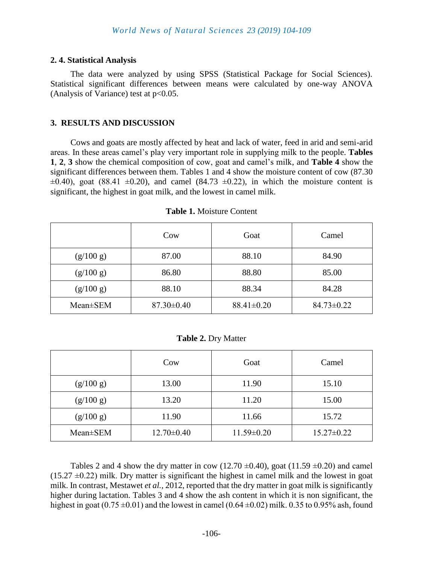#### **2. 4. Statistical Analysis**

The data were analyzed by using SPSS (Statistical Package for Social Sciences). Statistical significant differences between means were calculated by one-way ANOVA (Analysis of Variance) test at  $p<0.05$ .

#### **3. RESULTS AND DISCUSSION**

Cows and goats are mostly affected by heat and lack of water, feed in arid and semi-arid areas. In these areas camel's play very important role in supplying milk to the people. **Tables 1**, **2**, **3** show the chemical composition of cow, goat and camel's milk, and **Table 4** show the significant differences between them. Tables 1 and 4 show the moisture content of cow (87.30  $\pm 0.40$ ), goat (88.41  $\pm 0.20$ ), and camel (84.73  $\pm 0.22$ ), in which the moisture content is significant, the highest in goat milk, and the lowest in camel milk.

|           | Cow              | Goat             | Camel            |
|-----------|------------------|------------------|------------------|
| (g/100 g) | 87.00            | 88.10            | 84.90            |
| (g/100 g) | 86.80            | 88.80            | 85.00            |
| (g/100 g) | 88.10            | 88.34            | 84.28            |
| Mean±SEM  | $87.30 \pm 0.40$ | $88.41 \pm 0.20$ | $84.73 \pm 0.22$ |

#### **Table 1.** Moisture Content

**Table 2.** Dry Matter

|                | Cow              | Goat             | Camel            |
|----------------|------------------|------------------|------------------|
| (g/100 g)      | 13.00            | 11.90            | 15.10            |
| (g/100 g)      | 13.20            | 11.20            | 15.00            |
| (g/100 g)      | 11.90            | 11.66            | 15.72            |
| $Mean \pm SEM$ | $12.70 \pm 0.40$ | $11.59 \pm 0.20$ | $15.27 \pm 0.22$ |

Tables 2 and 4 show the dry matter in cow (12.70  $\pm$ 0.40), goat (11.59  $\pm$ 0.20) and camel  $(15.27 \pm 0.22)$  milk. Dry matter is significant the highest in camel milk and the lowest in goat milk. In contrast, Mestawet *et al.,* 2012, reported that the dry matter in goat milk is significantly higher during lactation. Tables 3 and 4 show the ash content in which it is non significant, the highest in goat (0.75  $\pm$ 0.01) and the lowest in camel (0.64  $\pm$ 0.02) milk. 0.35 to 0.95% ash, found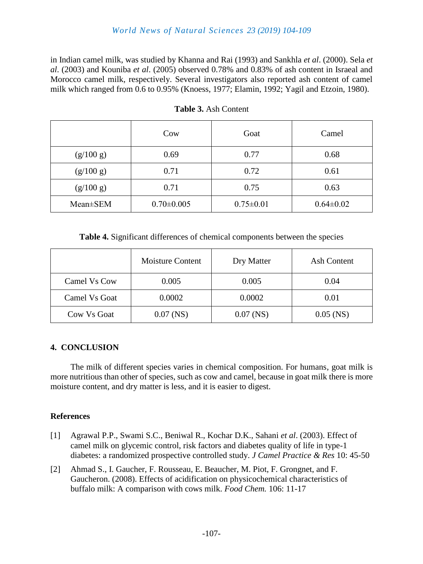# *World News of Natural Sciences 23 (2019) 104-109*

in Indian camel milk, was studied by Khanna and Rai (1993) and Sankhla *et al*. (2000). Sela *et al*. (2003) and Kouniba *et al*. (2005) observed 0.78% and 0.83% of ash content in Israeal and Morocco camel milk, respectively. Several investigators also reported ash content of camel milk which ranged from 0.6 to 0.95% (Knoess, 1977; Elamin, 1992; Yagil and Etzoin, 1980).

|           | Cow              | Goat            | Camel           |
|-----------|------------------|-----------------|-----------------|
| (g/100 g) | 0.69             | 0.77            | 0.68            |
| (g/100 g) | 0.71             | 0.72            | 0.61            |
| (g/100 g) | 0.71             | 0.75            | 0.63            |
| Mean±SEM  | $0.70 \pm 0.005$ | $0.75 \pm 0.01$ | $0.64 \pm 0.02$ |

**Table 3.** Ash Content

**Table 4.** Significant differences of chemical components between the species

|               | <b>Moisture Content</b> | Dry Matter  | Ash Content |
|---------------|-------------------------|-------------|-------------|
| Camel Vs Cow  | 0.005                   | 0.005       | 0.04        |
| Camel Vs Goat | 0.0002                  | 0.0002      | 0.01        |
| Cow Vs Goat   | $0.07$ (NS)             | $0.07$ (NS) | $0.05$ (NS) |

# **4. CONCLUSION**

The milk of different species varies in chemical composition. For humans, goat milk is more nutritious than other of species, such as cow and camel, because in goat milk there is more moisture content, and dry matter is less, and it is easier to digest.

# **References**

- [1] Agrawal P.P., Swami S.C., Beniwal R., Kochar D.K., Sahani *et al*. (2003). Effect of camel milk on glycemic control, risk factors and diabetes quality of life in type-1 diabetes: a randomized prospective controlled study. *J Camel Practice & Res* 10: 45-50
- [2] Ahmad S., I. Gaucher, F. Rousseau, E. Beaucher, M. Piot, F. Grongnet, and F. Gaucheron. (2008). Effects of acidification on physicochemical characteristics of buffalo milk: A comparison with cows milk. *Food Chem.* 106: 11-17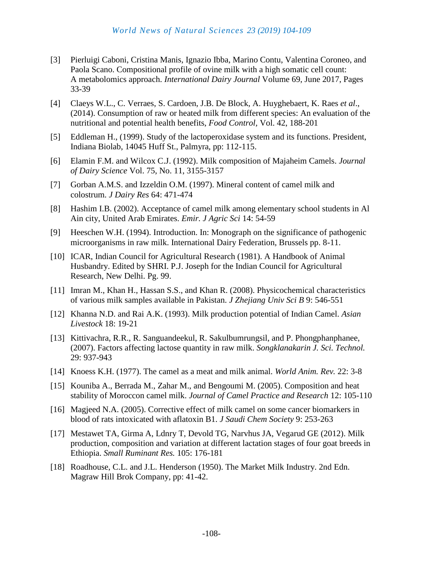- [3] Pierluigi Caboni, Cristina Manis, Ignazio Ibba, Marino Contu, Valentina Coroneo, and Paola Scano. Compositional profile of ovine milk with a high somatic cell count: A metabolomics approach. *[International Dairy Journal](https://www.sciencedirect.com/science/journal/09586946)* [Volume 69,](https://www.sciencedirect.com/science/journal/09586946/69/supp/C) June 2017, Pages 33-39
- [4] Claeys W.L., C. Verraes, S. Cardoen, J.B. De Block, A. Huyghebaert, K. Raes *et al*., (2014). Consumption of raw or heated milk from different species: An evaluation of the nutritional and potential health benefits, *Food Control,* Vol. 42, 188-201
- [5] Eddleman H., (1999). Study of the lactoperoxidase system and its functions. President, Indiana Biolab, 14045 Huff St., Palmyra, pp: 112-115.
- [6] Elamin F.M. and Wilcox C.J. (1992). Milk composition of Majaheim Camels. *Journal of Dairy Science* Vol. 75, No. 11, 3155-3157
- [7] Gorban A.M.S. and Izzeldin O.M. (1997). Mineral content of camel milk and colostrum. *J Dairy Res* 64: 471-474
- [8] Hashim I.B. (2002). Acceptance of camel milk among elementary school students in Al Ain city, United Arab Emirates. *Emir. J Agric Sci* 14: 54-59
- [9] Heeschen W.H. (1994). Introduction. In: Monograph on the significance of pathogenic microorganisms in raw milk. International Dairy Federation, Brussels pp. 8-11.
- [10] ICAR, Indian Council for Agricultural Research (1981). A Handbook of Animal Husbandry. Edited by SHRI. P.J. Joseph for the Indian Council for Agricultural Research, New Delhi. Pg. 99.
- [11] Imran M., Khan H., Hassan S.S., and Khan R. (2008). Physicochemical characteristics of various milk samples available in Pakistan. *J Zhejiang Univ Sci B* 9: 546-551
- [12] Khanna N.D. and Rai A.K. (1993). Milk production potential of Indian Camel. *Asian Livestock* 18: 19-21
- [13] Kittivachra, R.R., R. Sanguandeekul, R. Sakulbumrungsil, and P. Phongphanphanee, (2007). Factors affecting lactose quantity in raw milk. *Songklanakarin J. Sci. Technol.* 29: 937-943
- [14] Knoess K.H. (1977). The camel as a meat and milk animal. *World Anim. Rev.* 22: 3-8
- [15] Kouniba A., Berrada M., Zahar M., and Bengoumi M. (2005). Composition and heat stability of Moroccon camel milk. *Journal of Camel Practice and Research* 12: 105-110
- [16] Magjeed N.A. (2005). Corrective effect of milk camel on some cancer biomarkers in blood of rats intoxicated with aflatoxin B1. *J Saudi Chem Society* 9: 253-263
- [17] Mestawet TA, Girma A, Ldnry T, Devold TG, Narvhus JA, Vegarud GE (2012). Milk production, composition and variation at different lactation stages of four goat breeds in Ethiopia. *Small Ruminant Res.* 105: 176-181
- [18] Roadhouse, C.L. and J.L. Henderson (1950). The Market Milk Industry. 2nd Edn. Magraw Hill Brok Company, pp: 41-42.